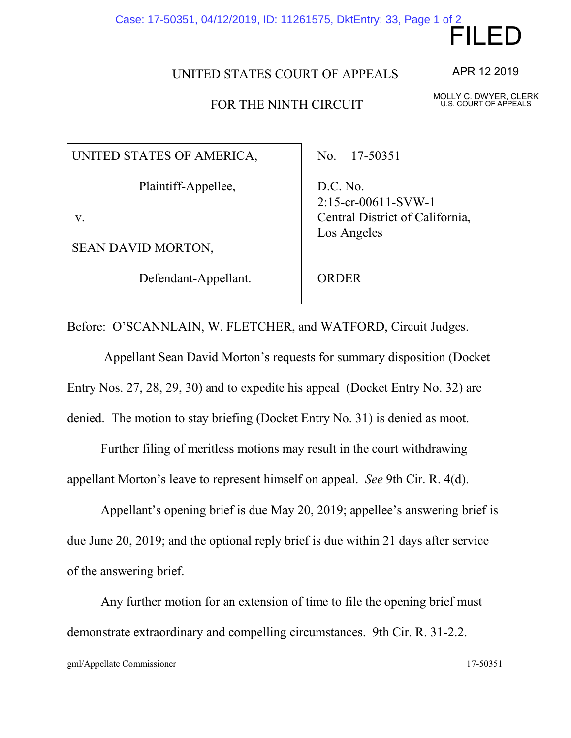## Case: 17-50351, 04/12/2019, ID: 11261575, DktEntry: 33, Page 1 of 2

UNITED STATES COURT OF APPEALS

## FOR THE NINTH CIRCUIT

UNITED STATES OF AMERICA,

Plaintiff-Appellee,

v.

SEAN DAVID MORTON,

Defendant-Appellant.

No. 17-50351

D.C. No. 2:15-cr-00611-SVW-1 Central District of California, Los Angeles

ORDER

Before: O'SCANNLAIN, W. FLETCHER, and WATFORD, Circuit Judges.

 Appellant Sean David Morton's requests for summary disposition (Docket Entry Nos. 27, 28, 29, 30) and to expedite his appeal (Docket Entry No. 32) are denied. The motion to stay briefing (Docket Entry No. 31) is denied as moot.

Further filing of meritless motions may result in the court withdrawing appellant Morton's leave to represent himself on appeal. *See* 9th Cir. R. 4(d).

Appellant's opening brief is due May 20, 2019; appellee's answering brief is due June 20, 2019; and the optional reply brief is due within 21 days after service of the answering brief.

Any further motion for an extension of time to file the opening brief must demonstrate extraordinary and compelling circumstances. 9th Cir. R. 31-2.2.

FILED

MOLLY C. DWYER, CLERK U.S. COURT OF APPEALS